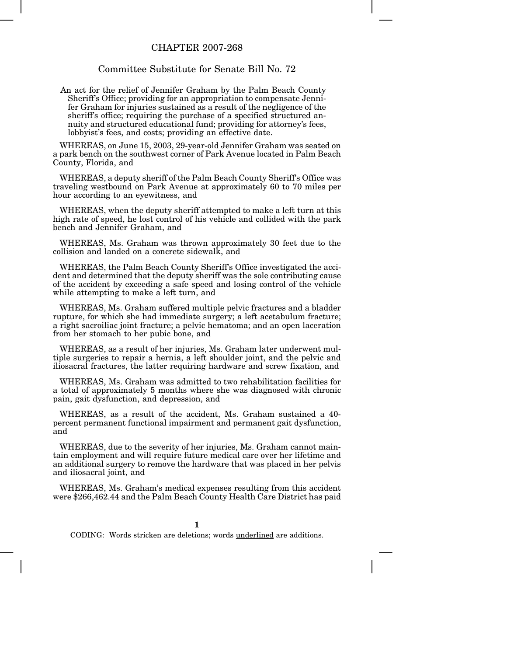## CHAPTER 2007-268

## Committee Substitute for Senate Bill No. 72

An act for the relief of Jennifer Graham by the Palm Beach County Sheriff's Office; providing for an appropriation to compensate Jennifer Graham for injuries sustained as a result of the negligence of the sheriff's office; requiring the purchase of a specified structured annuity and structured educational fund; providing for attorney's fees, lobbyist's fees, and costs; providing an effective date.

WHEREAS, on June 15, 2003, 29-year-old Jennifer Graham was seated on a park bench on the southwest corner of Park Avenue located in Palm Beach County, Florida, and

WHEREAS, a deputy sheriff of the Palm Beach County Sheriff's Office was traveling westbound on Park Avenue at approximately 60 to 70 miles per hour according to an eyewitness, and

WHEREAS, when the deputy sheriff attempted to make a left turn at this high rate of speed, he lost control of his vehicle and collided with the park bench and Jennifer Graham, and

WHEREAS, Ms. Graham was thrown approximately 30 feet due to the collision and landed on a concrete sidewalk, and

WHEREAS, the Palm Beach County Sheriff's Office investigated the accident and determined that the deputy sheriff was the sole contributing cause of the accident by exceeding a safe speed and losing control of the vehicle while attempting to make a left turn, and

WHEREAS, Ms. Graham suffered multiple pelvic fractures and a bladder rupture, for which she had immediate surgery; a left acetabulum fracture; a right sacroiliac joint fracture; a pelvic hematoma; and an open laceration from her stomach to her pubic bone, and

WHEREAS, as a result of her injuries, Ms. Graham later underwent multiple surgeries to repair a hernia, a left shoulder joint, and the pelvic and iliosacral fractures, the latter requiring hardware and screw fixation, and

WHEREAS, Ms. Graham was admitted to two rehabilitation facilities for a total of approximately 5 months where she was diagnosed with chronic pain, gait dysfunction, and depression, and

WHEREAS, as a result of the accident, Ms. Graham sustained a 40 percent permanent functional impairment and permanent gait dysfunction, and

WHEREAS, due to the severity of her injuries, Ms. Graham cannot maintain employment and will require future medical care over her lifetime and an additional surgery to remove the hardware that was placed in her pelvis and iliosacral joint, and

WHEREAS, Ms. Graham's medical expenses resulting from this accident were \$266,462.44 and the Palm Beach County Health Care District has paid

**1**

CODING: Words stricken are deletions; words underlined are additions.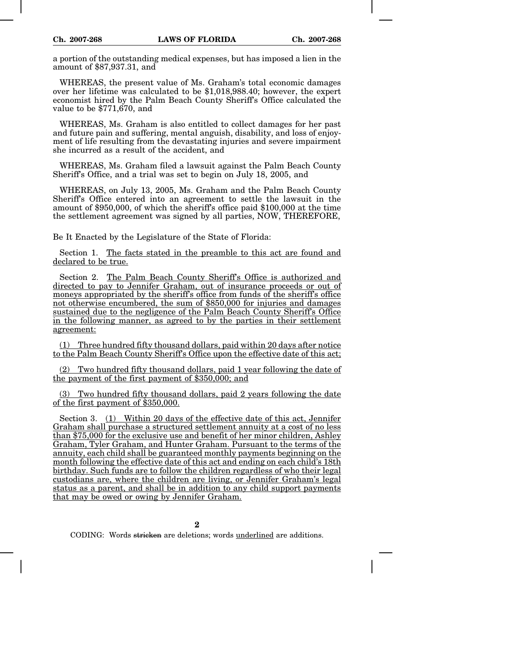a portion of the outstanding medical expenses, but has imposed a lien in the amount of \$87,937.31, and

WHEREAS, the present value of Ms. Graham's total economic damages over her lifetime was calculated to be \$1,018,988.40; however, the expert economist hired by the Palm Beach County Sheriff's Office calculated the value to be \$771,670, and

WHEREAS, Ms. Graham is also entitled to collect damages for her past and future pain and suffering, mental anguish, disability, and loss of enjoyment of life resulting from the devastating injuries and severe impairment she incurred as a result of the accident, and

WHEREAS, Ms. Graham filed a lawsuit against the Palm Beach County Sheriff's Office, and a trial was set to begin on July 18, 2005, and

WHEREAS, on July 13, 2005, Ms. Graham and the Palm Beach County Sheriff's Office entered into an agreement to settle the lawsuit in the amount of \$950,000, of which the sheriff's office paid \$100,000 at the time the settlement agreement was signed by all parties, NOW, THEREFORE,

Be It Enacted by the Legislature of the State of Florida:

Section 1. The facts stated in the preamble to this act are found and declared to be true.

Section 2. The Palm Beach County Sheriff's Office is authorized and directed to pay to Jennifer Graham, out of insurance proceeds or out of moneys appropriated by the sheriff's office from funds of the sheriff's office not otherwise encumbered, the sum of \$850,000 for injuries and damages sustained due to the negligence of the Palm Beach County Sheriff's Office in the following manner, as agreed to by the parties in their settlement agreement:

(1) Three hundred fifty thousand dollars, paid within 20 days after notice to the Palm Beach County Sheriff's Office upon the effective date of this act;

(2) Two hundred fifty thousand dollars, paid 1 year following the date of the payment of the first payment of \$350,000; and

(3) Two hundred fifty thousand dollars, paid 2 years following the date of the first payment of \$350,000.

Section 3. (1) Within 20 days of the effective date of this act, Jennifer Graham shall purchase a structured settlement annuity at a cost of no less than \$75,000 for the exclusive use and benefit of her minor children, Ashley Graham, Tyler Graham, and Hunter Graham. Pursuant to the terms of the annuity, each child shall be guaranteed monthly payments beginning on the month following the effective date of this act and ending on each child's 18th birthday. Such funds are to follow the children regardless of who their legal custodians are, where the children are living, or Jennifer Graham's legal status as a parent, and shall be in addition to any child support payments that may be owed or owing by Jennifer Graham.

CODING: Words stricken are deletions; words underlined are additions.